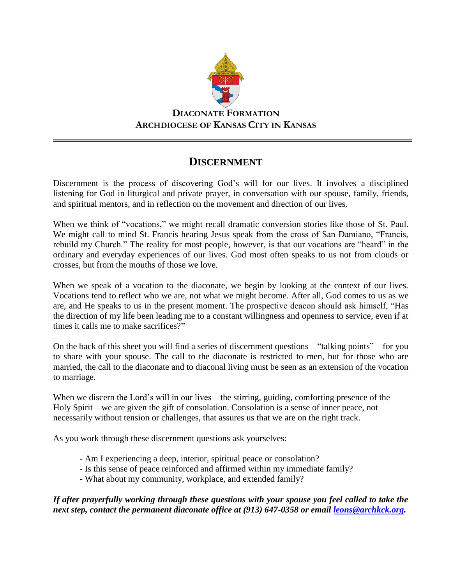

**DIACONATE FORMATION ARCHDIOCESE OF KANSAS CITY IN KANSAS**

## **DISCERNMENT**

Discernment is the process of discovering God's will for our lives. It involves a disciplined listening for God in liturgical and private prayer, in conversation with our spouse, family, friends, and spiritual mentors, and in reflection on the movement and direction of our lives.

When we think of "vocations," we might recall dramatic conversion stories like those of St. Paul. We might call to mind St. Francis hearing Jesus speak from the cross of San Damiano, "Francis, rebuild my Church." The reality for most people, however, is that our vocations are "heard" in the ordinary and everyday experiences of our lives. God most often speaks to us not from clouds or crosses, but from the mouths of those we love.

When we speak of a vocation to the diaconate, we begin by looking at the context of our lives. Vocations tend to reflect who we are, not what we might become. After all, God comes to us as we are, and He speaks to us in the present moment. The prospective deacon should ask himself, "Has the direction of my life been leading me to a constant willingness and openness to service, even if at times it calls me to make sacrifices?"

On the back of this sheet you will find a series of discernment questions—"talking points"—for you to share with your spouse. The call to the diaconate is restricted to men, but for those who are married, the call to the diaconate and to diaconal living must be seen as an extension of the vocation to marriage.

When we discern the Lord's will in our lives—the stirring, guiding, comforting presence of the Holy Spirit—we are given the gift of consolation. Consolation is a sense of inner peace, not necessarily without tension or challenges, that assures us that we are on the right track.

As you work through these discernment questions ask yourselves:

- Am I experiencing a deep, interior, spiritual peace or consolation?
- Is this sense of peace reinforced and affirmed within my immediate family?
- What about my community, workplace, and extended family?

*If after prayerfully working through these questions with your spouse you feel called to take the next step, contact the permanent diaconate office at (913) 647-0358 or email [leons@archkck.org.](mailto:leons@archkck.org)*